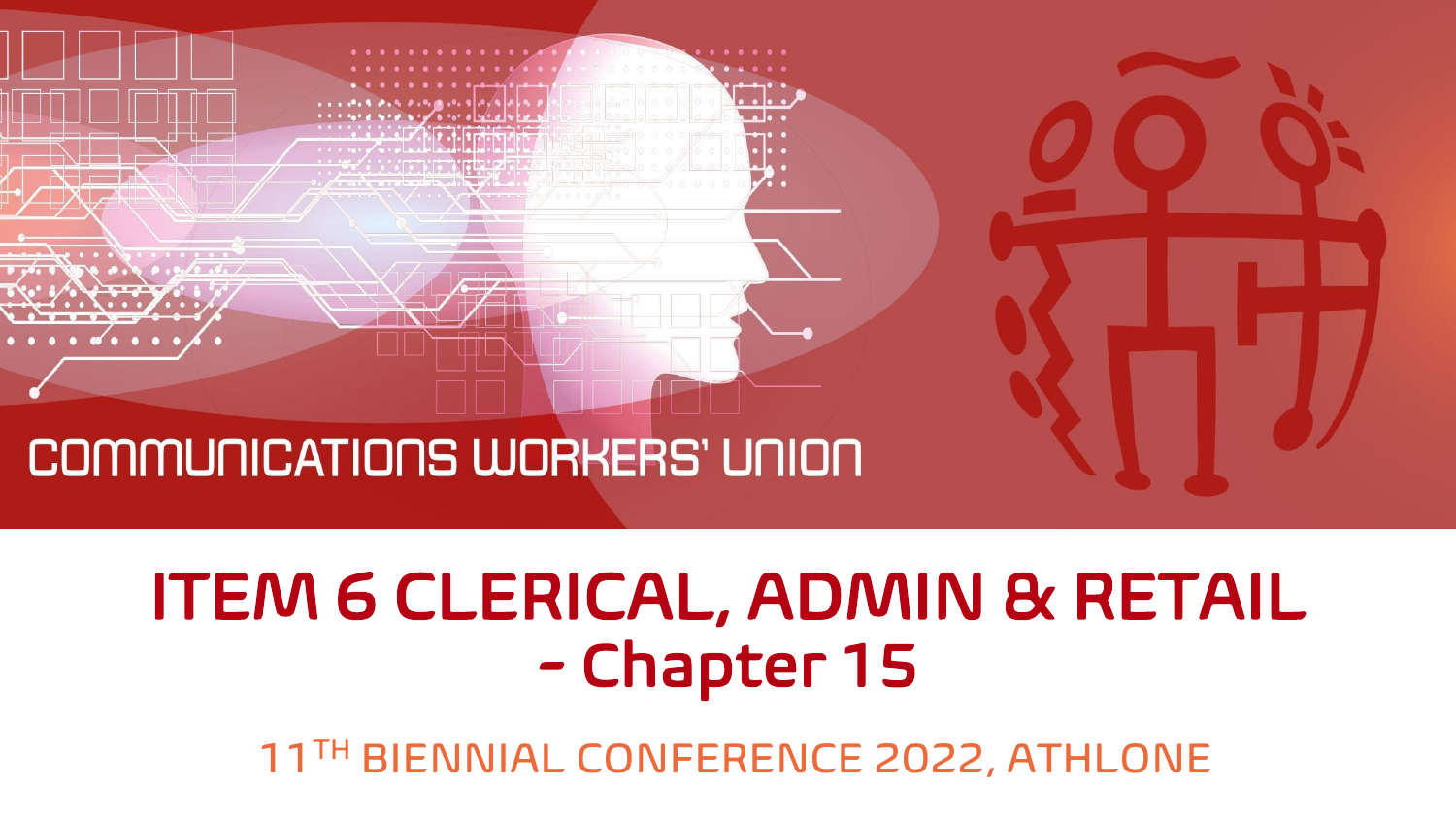

## ITEM 6 CLERICAL, ADMIN & RETAIL - Chapter 15

11TH BIENNIAL CONFERENCE 2022, ATHLONE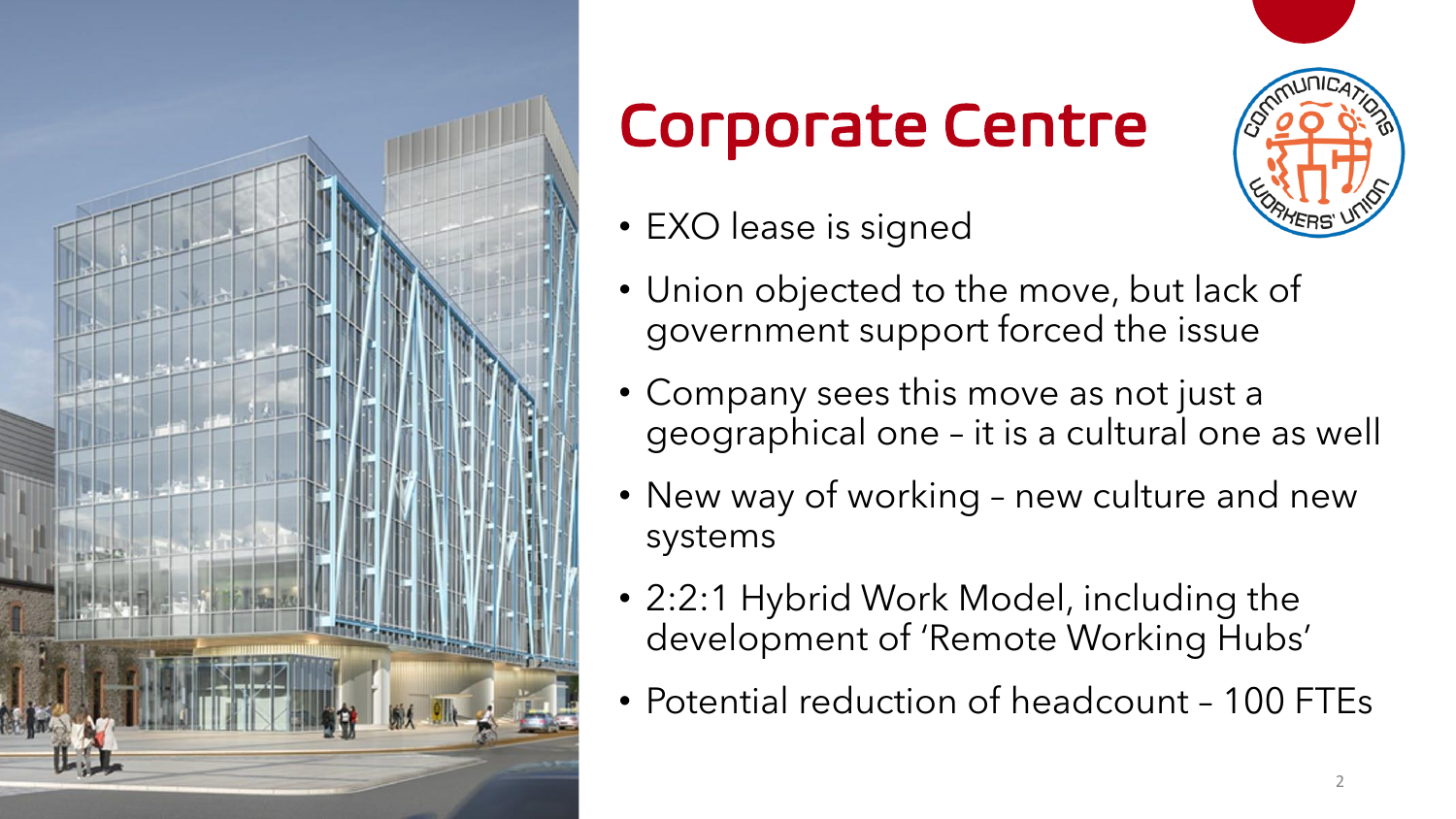

## Corporate Centre

- EXO lease is signed
- Union objected to the move, but lack of government support forced the issue
- Company sees this move as not just a geographical one – it is a cultural one as well
- New way of working new culture and new systems
- 2:2:1 Hybrid Work Model, including the development of 'Remote Working Hubs'
- Potential reduction of headcount 100 FTEs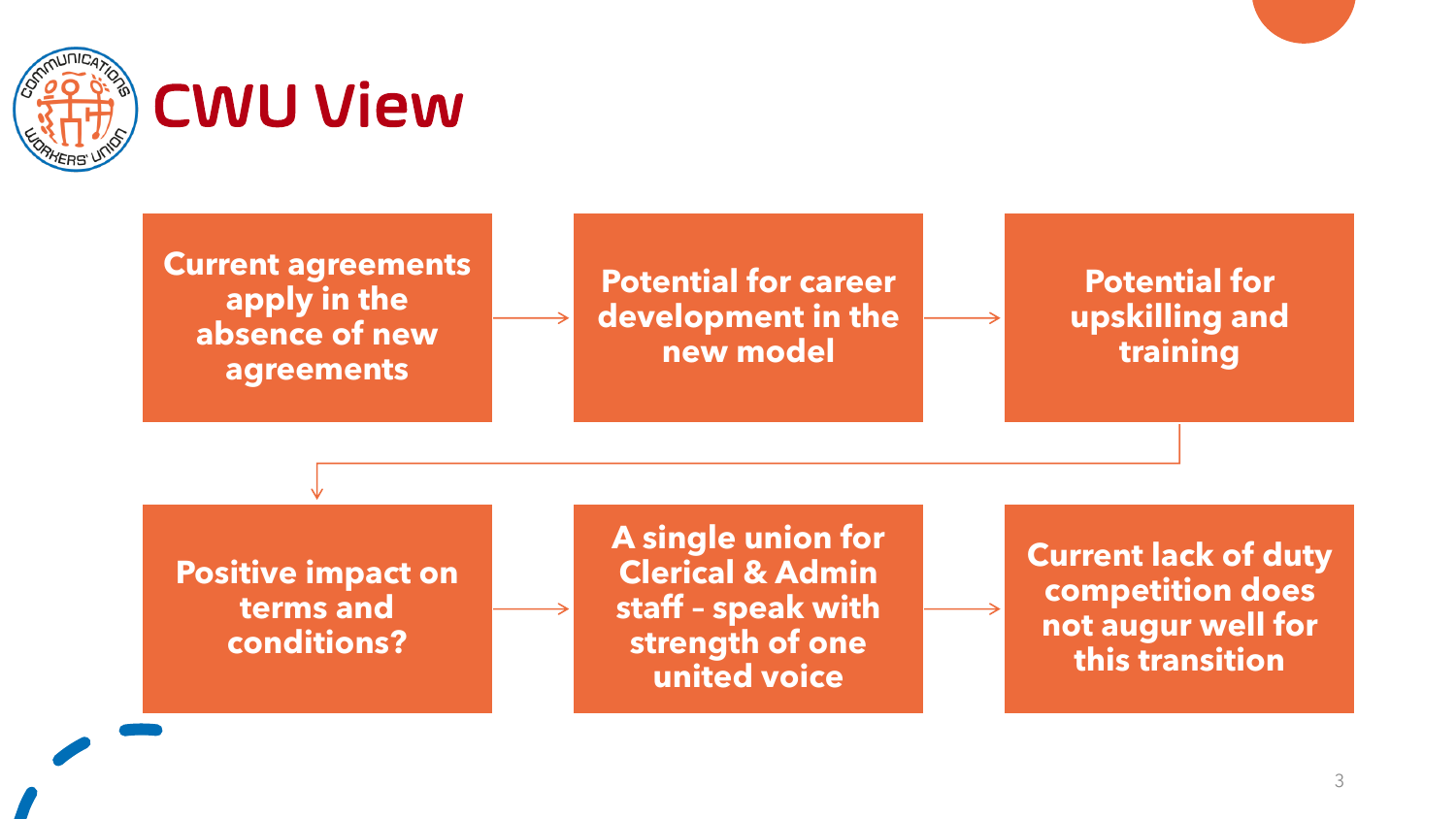

## CWU View

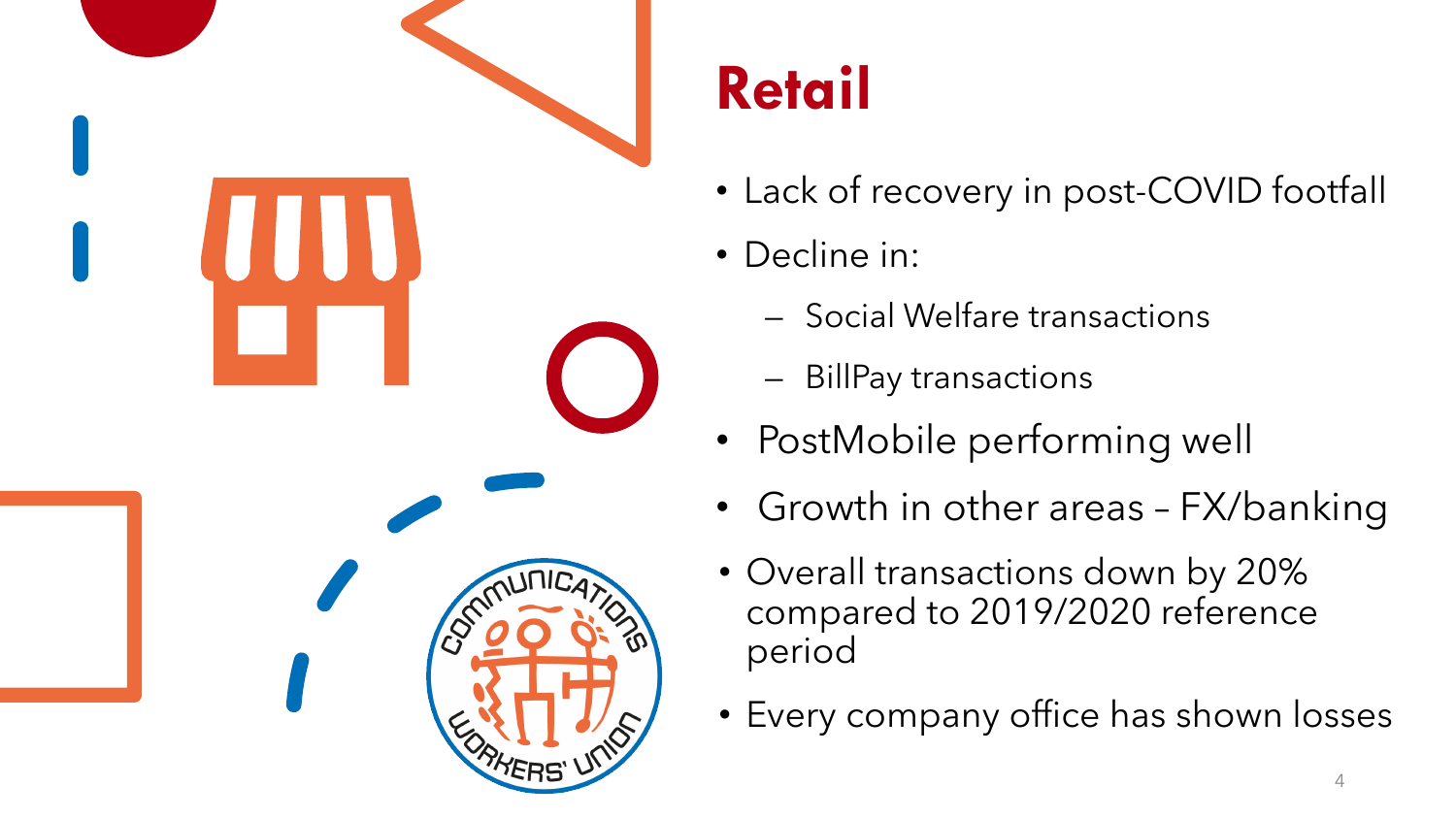

## **Retail**

- Lack of recovery in post-COVID footfall
- Decline in:
	- Social Welfare transactions
	- BillPay transactions
- PostMobile performing well
- Growth in other areas FX/banking
- Overall transactions down by 20% compared to 2019/2020 reference period
- Every company office has shown losses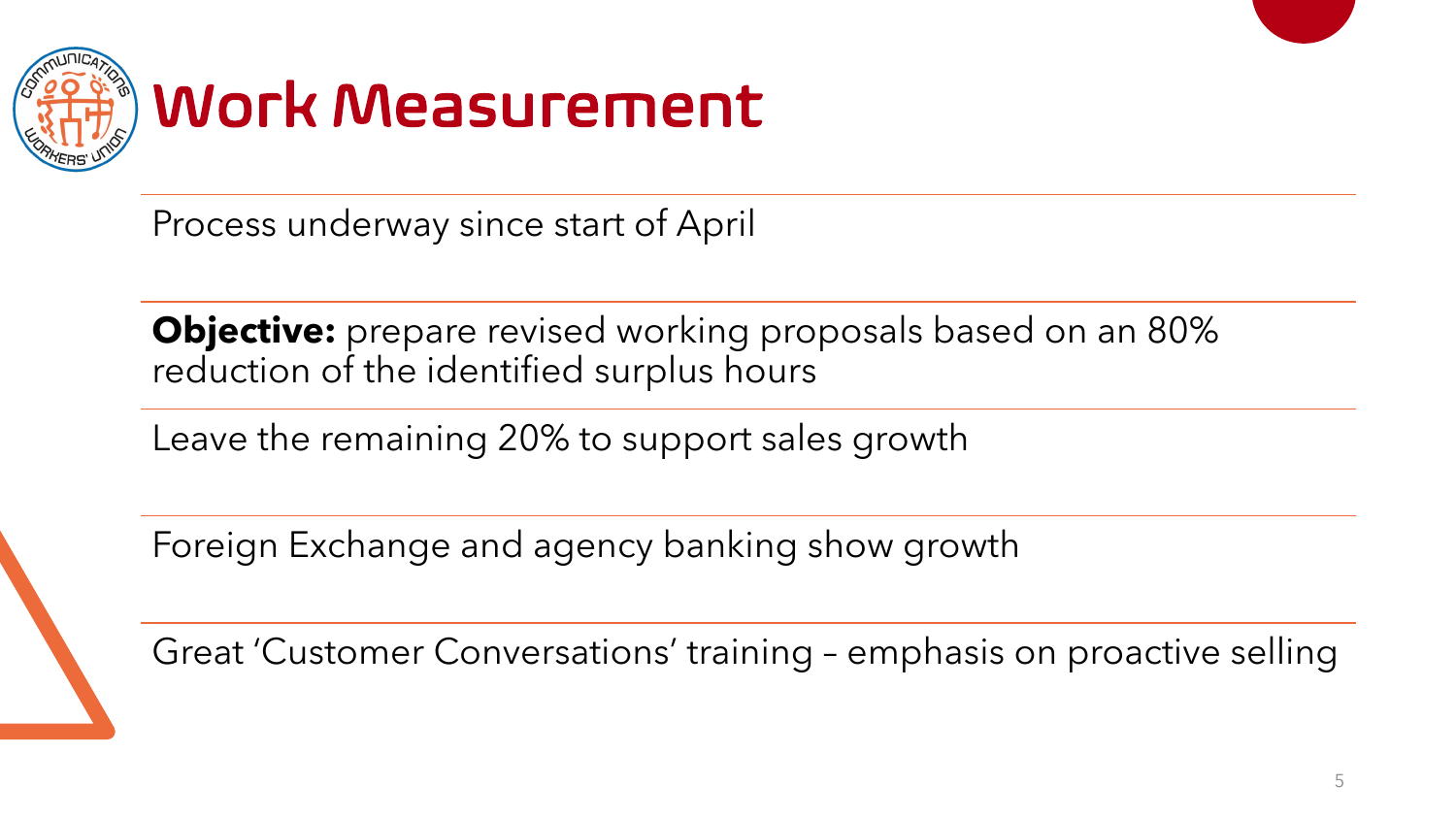

Process underway since start of April

**Objective:** prepare revised working proposals based on an 80% reduction of the identified surplus hours

Leave the remaining 20% to support sales growth

Foreign Exchange and agency banking show growth

Great 'Customer Conversations' training – emphasis on proactive selling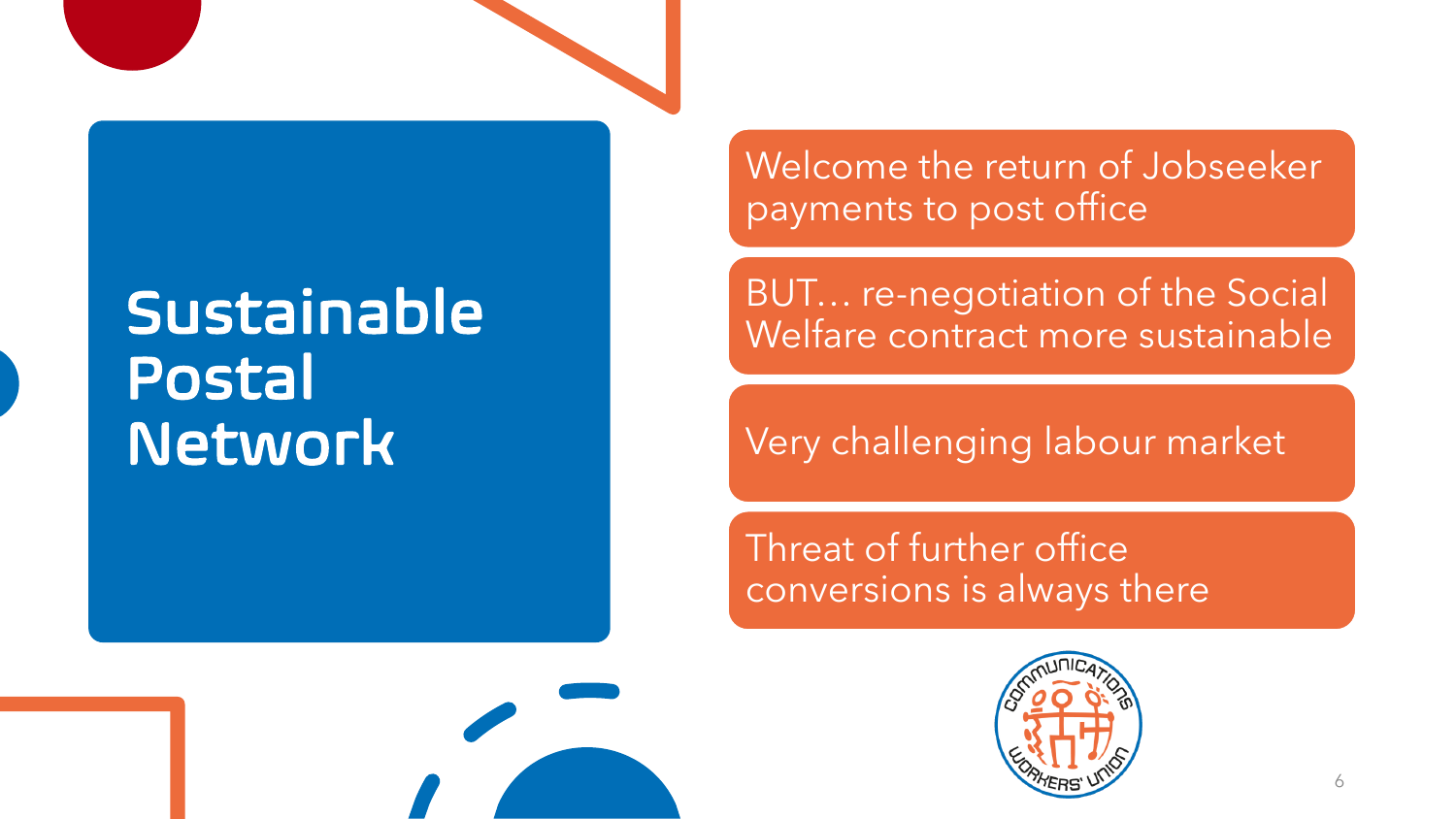### Sustainable Postal Network

Welcome the return of Jobseeker payments to post office

BUT… re-negotiation of the Social Welfare contract more sustainable

Very challenging labour market

Threat of further office conversions is always there



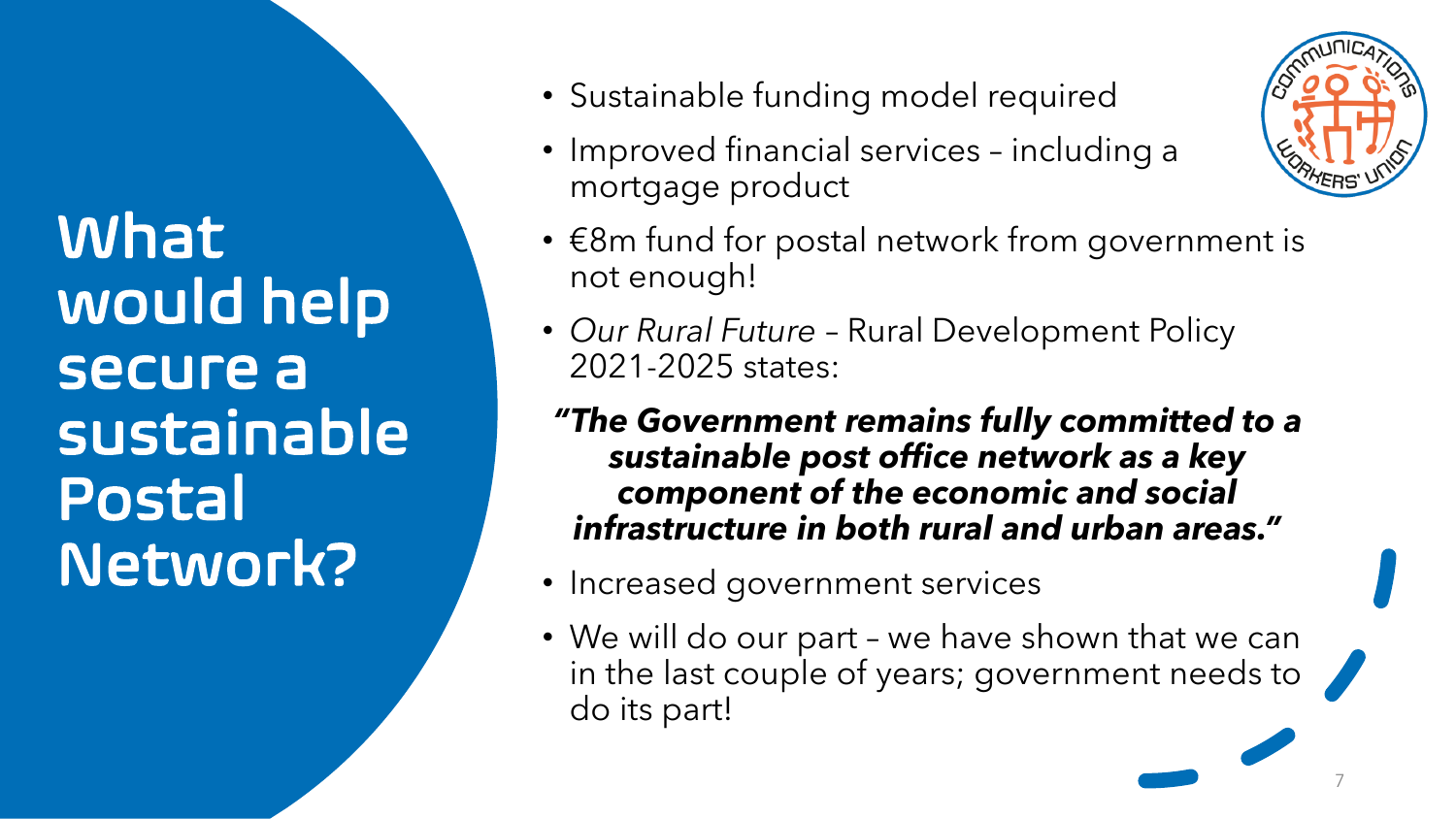What would help secure a sustainable Postal Network?

- Sustainable funding model required
- Improved financial services including a mortgage product
- €8m fund for postal network from government is not enough!
- *Our Rural Future*  Rural Development Policy 2021-2025 states:
- *"The Government remains fully committed to a sustainable post office network as a key component of the economic and social infrastructure in both rural and urban areas."*
- Increased government services
- We will do our part we have shown that we can in the last couple of years; government needs to do its part!



7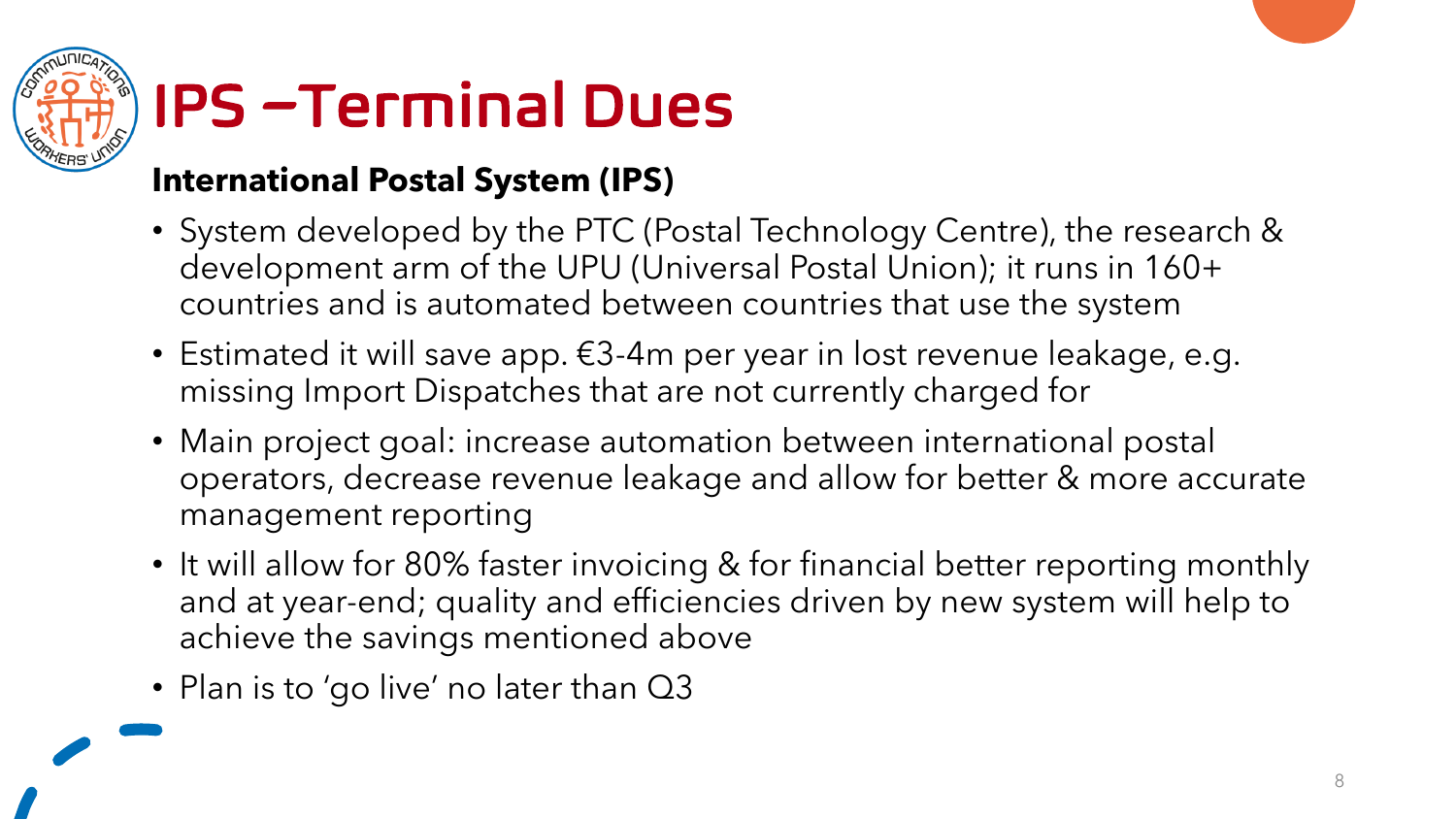

## IPS –Terminal Dues

#### **International Postal System (IPS)**

- System developed by the PTC (Postal Technology Centre), the research & development arm of the UPU (Universal Postal Union); it runs in 160+ countries and is automated between countries that use the system
- Estimated it will save app. €3-4m per year in lost revenue leakage, e.g. missing Import Dispatches that are not currently charged for
- Main project goal: increase automation between international postal operators, decrease revenue leakage and allow for better & more accurate management reporting
- It will allow for 80% faster invoicing & for financial better reporting monthly and at year-end; quality and efficiencies driven by new system will help to achieve the savings mentioned above
- Plan is to 'go live' no later than Q3

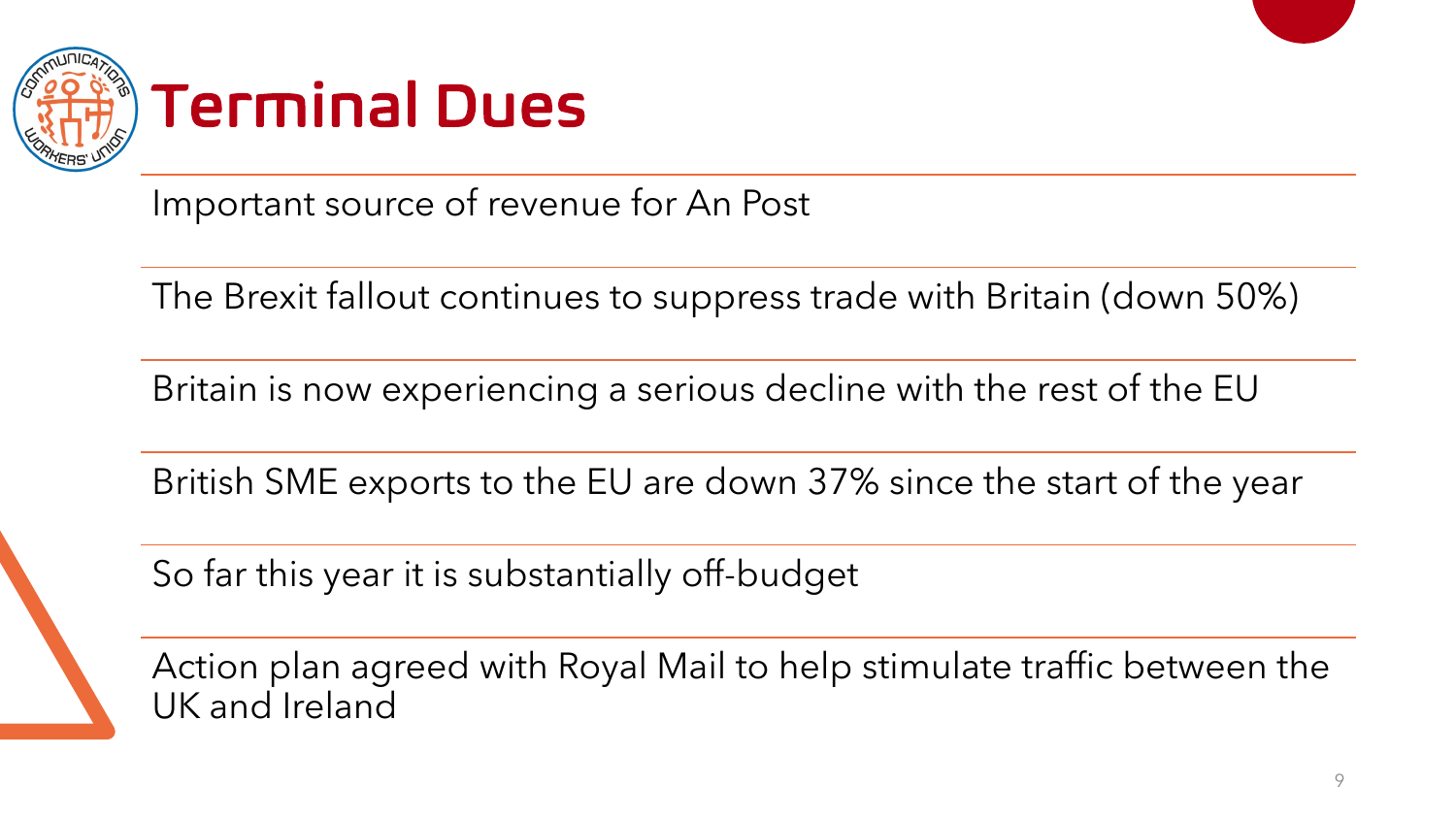

Important source of revenue for An Post

The Brexit fallout continues to suppress trade with Britain (down 50%)

Britain is now experiencing a serious decline with the rest of the EU

British SME exports to the EU are down 37% since the start of the year

So far this year it is substantially off-budget

Action plan agreed with Royal Mail to help stimulate traffic between the UK and Ireland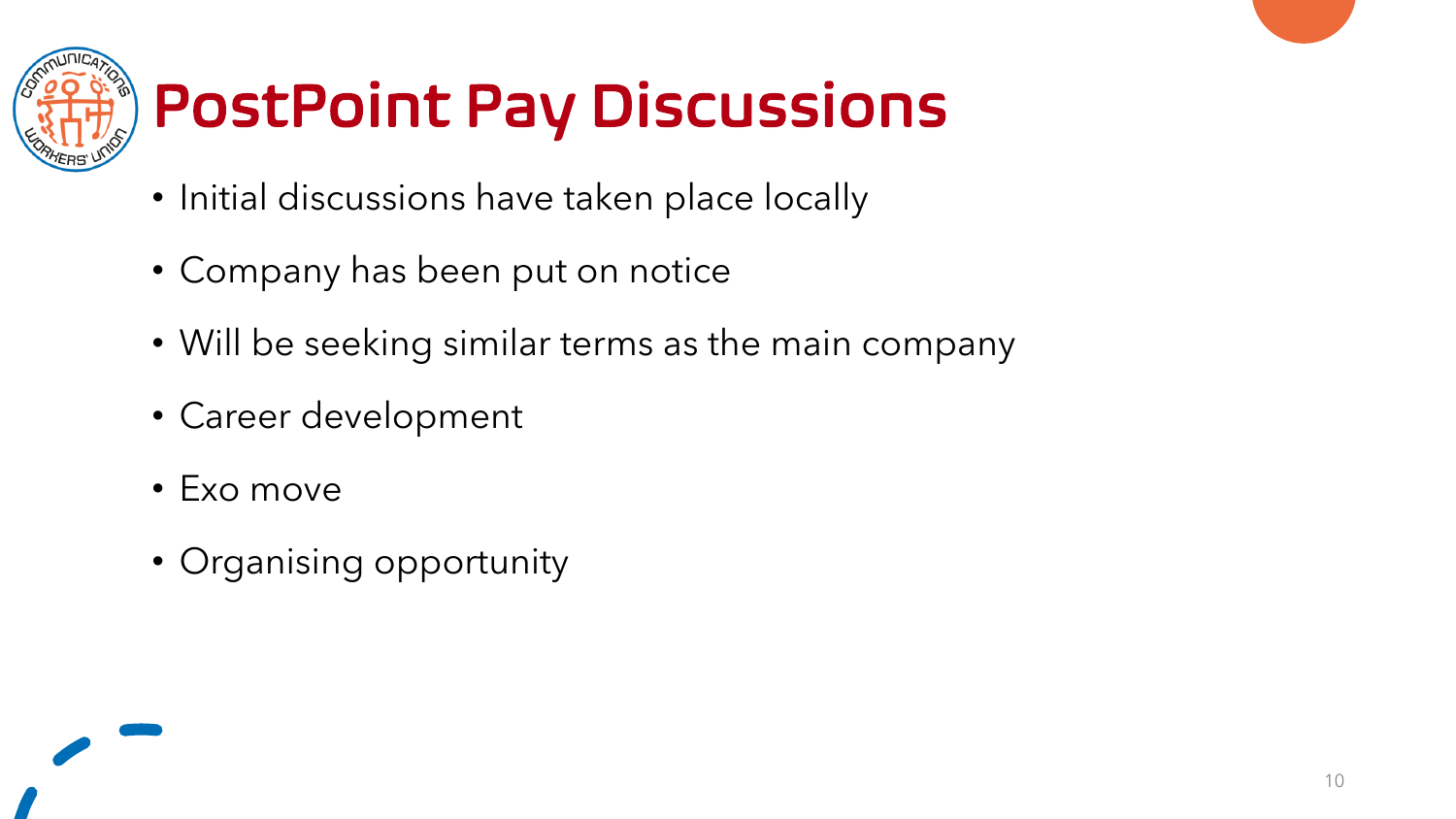

# PostPoint Pay Discussions

- Initial discussions have taken place locally
- Company has been put on notice
- Will be seeking similar terms as the main company
- Career development
- Exo move
- Organising opportunity

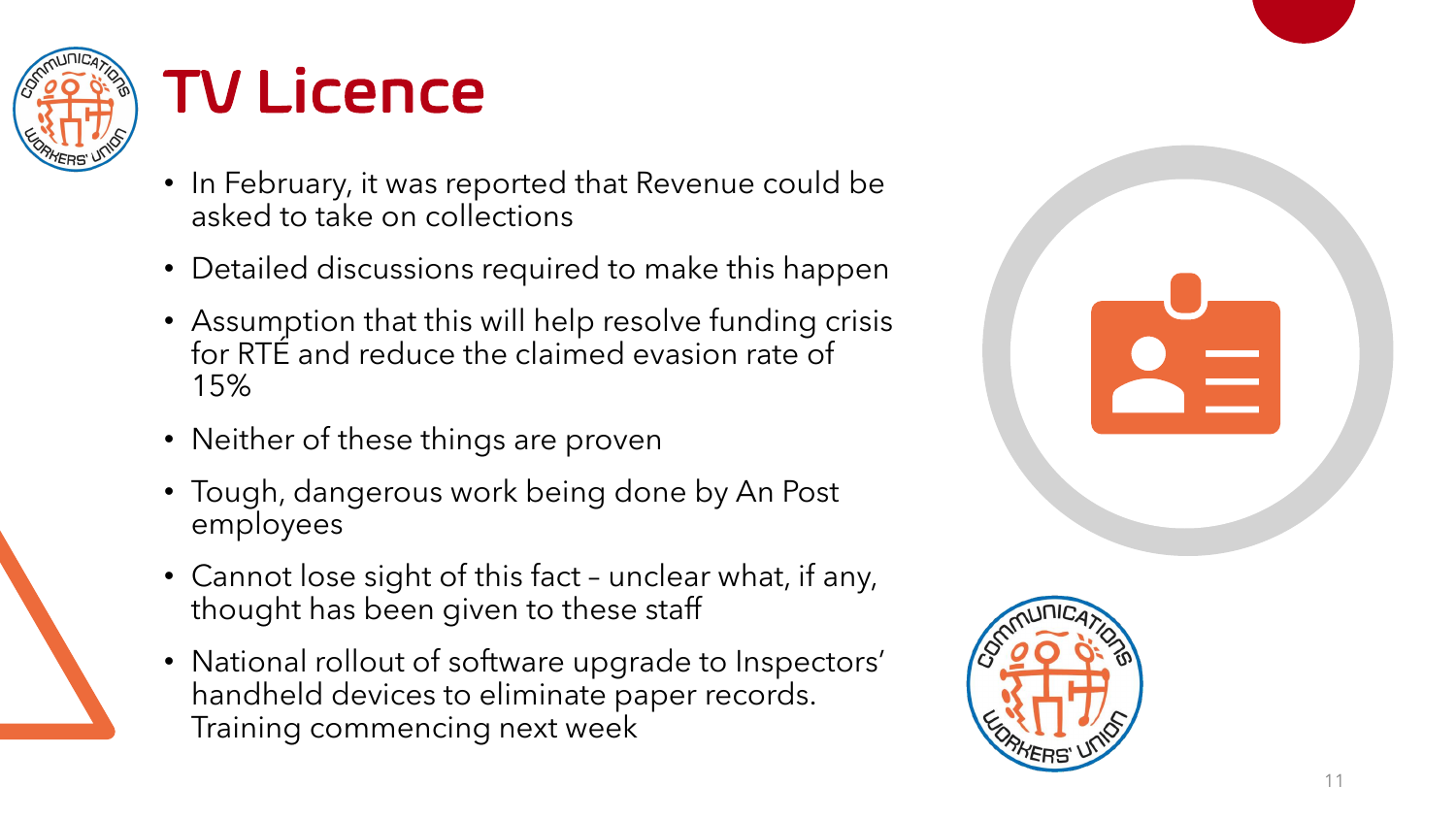

## TV Licence

- In February, it was reported that Revenue could be asked to take on collections
- Detailed discussions required to make this happen
- Assumption that this will help resolve funding crisis for RTÉ and reduce the claimed evasion rate of 15%
- Neither of these things are proven
- Tough, dangerous work being done by An Post employees
- Cannot lose sight of this fact unclear what, if any, thought has been given to these staff
- National rollout of software upgrade to Inspectors' handheld devices to eliminate paper records. Training commencing next week